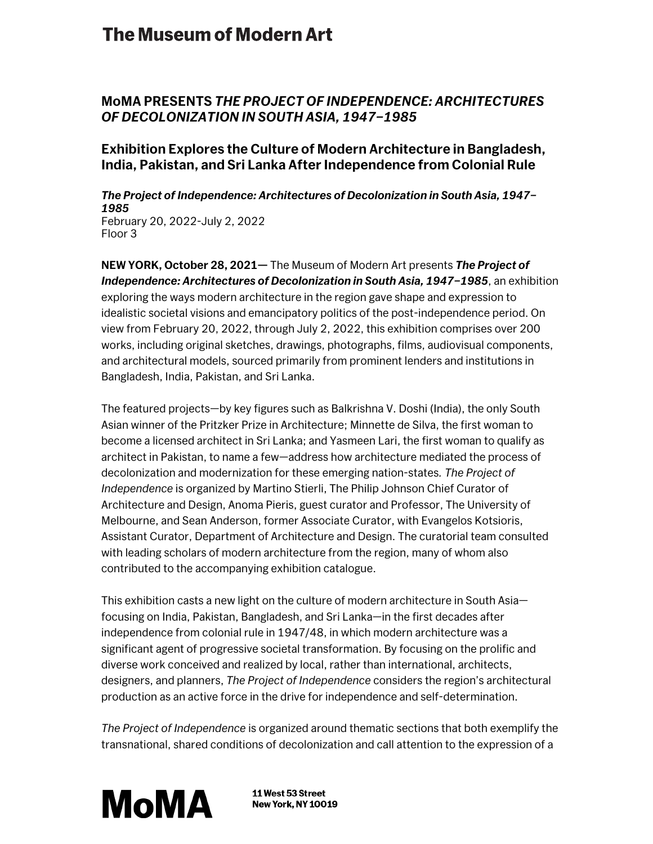## **The Museum of Modern Art**

## **MoMA PRESENTS** *THE PROJECT OF INDEPENDENCE: ARCHITECTURES OF DECOLONIZATION IN SOUTH ASIA, 1947–1985*

### **Exhibition Explores the Culture of Modern Architecture in Bangladesh, India, Pakistan, and Sri Lanka After Independence from Colonial Rule**

#### *The Project of Independence: Architectures of Decolonization in South Asia, 1947– 1985* February 20, 2022-July 2, 2022

Floor 3

**NEW YORK, October 28, 2021—** The Museum of Modern Art presents *The Project of Independence: Architectures of Decolonization in South Asia, 1947–1985*, an exhibition exploring the ways modern architecture in the region gave shape and expression to idealistic societal visions and emancipatory politics of the post-independence period. On view from February 20, 2022, through July 2, 2022, this exhibition comprises over 200 works, including original sketches, drawings, photographs, films, audiovisual components, and architectural models, sourced primarily from prominent lenders and institutions in Bangladesh, India, Pakistan, and Sri Lanka.

The featured projects—by key figures such as Balkrishna V. Doshi (India), the only South Asian winner of the Pritzker Prize in Architecture; Minnette de Silva, the first woman to become a licensed architect in Sri Lanka; and Yasmeen Lari, the first woman to qualify as architect in Pakistan, to name a few—address how architecture mediated the process of decolonization and modernization for these emerging nation-states*. The Project of Independence* is organized by Martino Stierli, The Philip Johnson Chief Curator of Architecture and Design, Anoma Pieris, guest curator and Professor, The University of Melbourne, and Sean Anderson, former Associate Curator, with Evangelos Kotsioris, Assistant Curator, Department of Architecture and Design. The curatorial team consulted with leading scholars of modern architecture from the region, many of whom also contributed to the accompanying exhibition catalogue.

This exhibition casts a new light on the culture of modern architecture in South Asia focusing on India, Pakistan, Bangladesh, and Sri Lanka—in the first decades after independence from colonial rule in 1947/48, in which modern architecture was a significant agent of progressive societal transformation. By focusing on the prolific and diverse work conceived and realized by local, rather than international, architects, designers, and planners, *The Project of Independence* considers the region's architectural production as an active force in the drive for independence and self-determination.

*The Project of Independence* is organized around thematic sections that both exemplify the transnational, shared conditions of decolonization and call attention to the expression of a



11 West 53 Street **New York, NY 10019**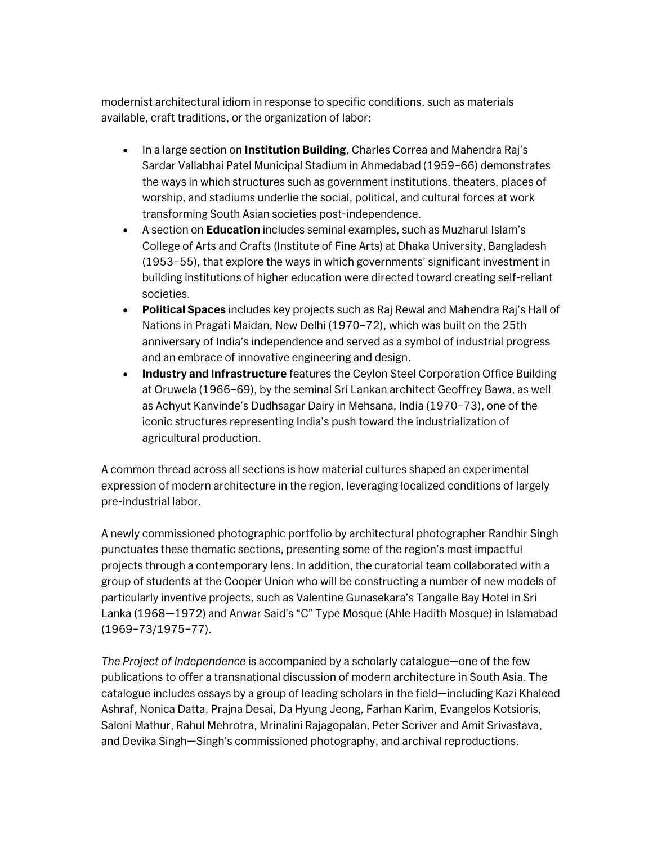modernist architectural idiom in response to specific conditions, such as materials available, craft traditions, or the organization of labor:

- In a large section on **Institution Building**, Charles Correa and Mahendra Raj's Sardar Vallabhai Patel Municipal Stadium in Ahmedabad (1959–66) demonstrates the ways in which structures such as government institutions, theaters, places of worship, and stadiums underlie the social, political, and cultural forces at work transforming South Asian societies post-independence.
- A section on **Education** includes seminal examples, such as Muzharul Islam's College of Arts and Crafts (Institute of Fine Arts) at Dhaka University, Bangladesh (1953–55), that explore the ways in which governments' significant investment in building institutions of higher education were directed toward creating self-reliant societies.
- **Political Spaces** includes key projects such as Raj Rewal and Mahendra Raj's Hall of Nations in Pragati Maidan, New Delhi (1970–72), which was built on the 25th anniversary of India's independence and served as a symbol of industrial progress and an embrace of innovative engineering and design.
- **Industry and Infrastructure** features the Ceylon Steel Corporation Office Building at Oruwela (1966–69), by the seminal Sri Lankan architect Geoffrey Bawa, as well as Achyut Kanvinde's Dudhsagar Dairy in Mehsana, India (1970–73), one of the iconic structures representing India's push toward the industrialization of agricultural production.

A common thread across all sections is how material cultures shaped an experimental expression of modern architecture in the region, leveraging localized conditions of largely pre-industrial labor.

A newly commissioned photographic portfolio by architectural photographer Randhir Singh punctuates these thematic sections, presenting some of the region's most impactful projects through a contemporary lens. In addition, the curatorial team collaborated with a group of students at the Cooper Union who will be constructing a number of new models of particularly inventive projects, such as Valentine Gunasekara's Tangalle Bay Hotel in Sri Lanka (1968—1972) and Anwar Said's "C" Type Mosque (Ahle Hadith Mosque) in Islamabad (1969–73/1975–77).

*The Project of Independence* is accompanied by a scholarly catalogue—one of the few publications to offer a transnational discussion of modern architecture in South Asia. The catalogue includes essays by a group of leading scholars in the field—including Kazi Khaleed Ashraf, Nonica Datta, Prajna Desai, Da Hyung Jeong, Farhan Karim, Evangelos Kotsioris, Saloni Mathur, Rahul Mehrotra, Mrinalini Rajagopalan, Peter Scriver and Amit Srivastava, and Devika Singh—Singh's commissioned photography, and archival reproductions.